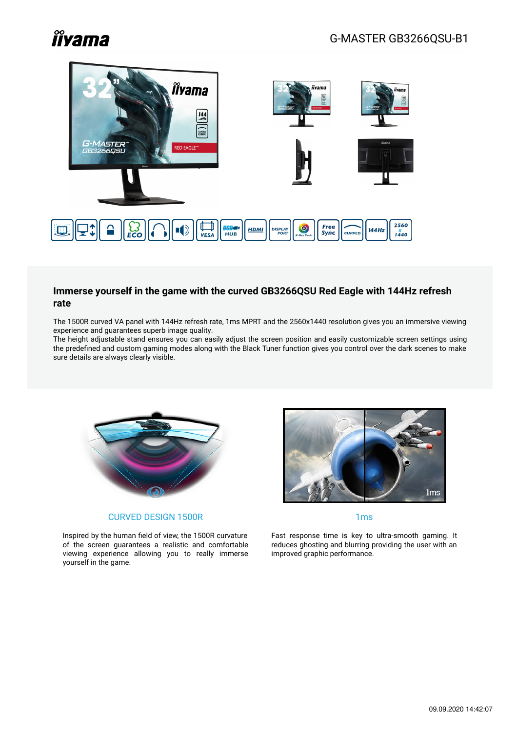# **îîyama**



#### **Immerse yourself in the game with the curved GB3266QSU Red Eagle with 144Hz refresh rate**

The 1500R curved VA panel with 144Hz refresh rate, 1ms MPRT and the 2560x1440 resolution gives you an immersive viewing experience and guarantees superb image quality.

The height adjustable stand ensures you can easily adjust the screen position and easily customizable screen settings using the predefined and custom gaming modes along with the Black Tuner function gives you control over the dark scenes to make sure details are always clearly visible.



#### CURVED DESIGN 1500R

Inspired by the human field of view, the 1500R curvature of the screen guarantees a realistic and comfortable viewing experience allowing you to really immerse yourself in the game.



1ms

Fast response time is key to ultra-smooth gaming. It reduces ghosting and blurring providing the user with an improved graphic performance.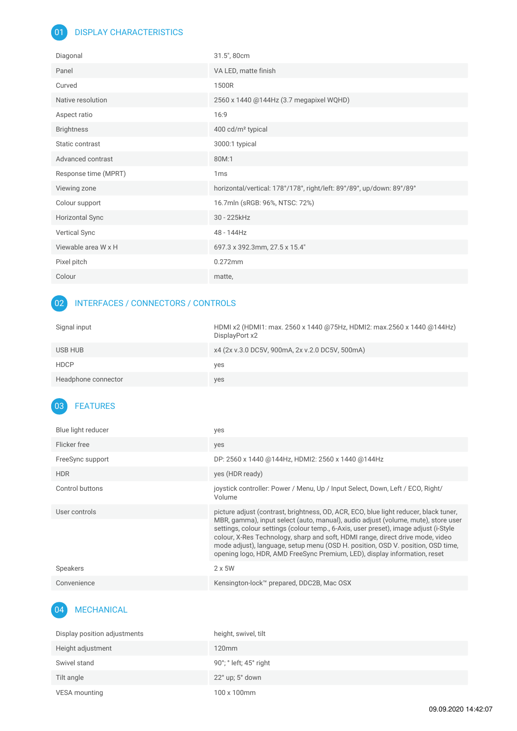## 01 DISPLAY CHARACTERISTICS

| Diagonal               | 31.5", 80cm                                                           |
|------------------------|-----------------------------------------------------------------------|
| Panel                  | VA LED, matte finish                                                  |
| Curved                 | 1500R                                                                 |
| Native resolution      | 2560 x 1440 @144Hz (3.7 megapixel WQHD)                               |
| Aspect ratio           | 16:9                                                                  |
| <b>Brightness</b>      | 400 cd/m <sup>2</sup> typical                                         |
| Static contrast        | 3000:1 typical                                                        |
| Advanced contrast      | 80M:1                                                                 |
|                        |                                                                       |
| Response time (MPRT)   | 1 <sub>ms</sub>                                                       |
| Viewing zone           | horizontal/vertical: 178°/178°, right/left: 89°/89°, up/down: 89°/89° |
| Colour support         | 16.7mln (sRGB: 96%, NTSC: 72%)                                        |
| <b>Horizontal Sync</b> | 30 - 225kHz                                                           |
| Vertical Sync          | 48 - 144Hz                                                            |
| Viewable area W x H    | 697.3 x 392.3mm, 27.5 x 15.4"                                         |
| Pixel pitch            | 0.272mm                                                               |

# 02 INTERFACES / CONNECTORS / CONTROLS

| Signal input        | HDMI x2 (HDMI1: max. 2560 x 1440 @75Hz, HDMI2: max.2560 x 1440 @144Hz)<br>DisplayPort x2 |
|---------------------|------------------------------------------------------------------------------------------|
| USB HUB             | x4 (2x v.3.0 DC5V, 900mA, 2x v.2.0 DC5V, 500mA)                                          |
| <b>HDCP</b>         | yes                                                                                      |
| Headphone connector | yes                                                                                      |

# 03 FEATURES

| Blue light reducer | yes                                                                                                                                                                                                                                                                                                                                                                                                                                                                                                                 |
|--------------------|---------------------------------------------------------------------------------------------------------------------------------------------------------------------------------------------------------------------------------------------------------------------------------------------------------------------------------------------------------------------------------------------------------------------------------------------------------------------------------------------------------------------|
| Flicker free       | yes                                                                                                                                                                                                                                                                                                                                                                                                                                                                                                                 |
| FreeSync support   | DP: 2560 x 1440 @144Hz, HDMI2: 2560 x 1440 @144Hz                                                                                                                                                                                                                                                                                                                                                                                                                                                                   |
| <b>HDR</b>         | yes (HDR ready)                                                                                                                                                                                                                                                                                                                                                                                                                                                                                                     |
| Control buttons    | joystick controller: Power / Menu, Up / Input Select, Down, Left / ECO, Right/<br>Volume                                                                                                                                                                                                                                                                                                                                                                                                                            |
| User controls      | picture adjust (contrast, brightness, OD, ACR, ECO, blue light reducer, black tuner,<br>MBR, gamma), input select (auto, manual), audio adjust (volume, mute), store user<br>settings, colour settings (colour temp., 6-Axis, user preset), image adjust (i-Style<br>colour, X-Res Technology, sharp and soft, HDMI range, direct drive mode, video<br>mode adjust), language, setup menu (OSD H. position, OSD V. position, OSD time,<br>opening logo, HDR, AMD FreeSync Premium, LED), display information, reset |
| <b>Speakers</b>    | $2 \times 5W$                                                                                                                                                                                                                                                                                                                                                                                                                                                                                                       |
| Convenience        | Kensington-lock™ prepared, DDC2B, Mac OSX                                                                                                                                                                                                                                                                                                                                                                                                                                                                           |

#### 04 MECHANICAL

| Display position adjustments | height, swivel, tilt                      |
|------------------------------|-------------------------------------------|
| Height adjustment            | $120$ mm                                  |
| Swivel stand                 | 90°; $^{\circ}$ left; 45 $^{\circ}$ right |
| Tilt angle                   | $22^{\circ}$ up; $5^{\circ}$ down         |
| VESA mounting                | 100 x 100mm                               |